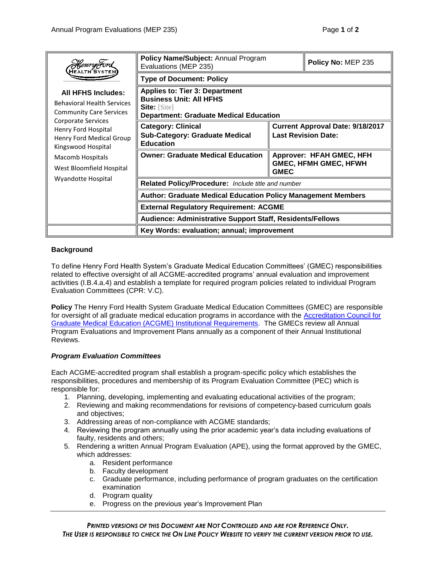| <i>HenryFord</i><br>HEALTH SYSTEN<br><b>All HFHS Includes:</b><br><b>Behavioral Health Services</b><br><b>Community Care Services</b><br><b>Corporate Services</b><br>Henry Ford Hospital<br>Henry Ford Medical Group<br>Kingswood Hospital<br>Macomb Hospitals<br>West Bloomfield Hospital<br>Wyandotte Hospital | Policy Name/Subject: Annual Program<br>Evaluations (MEP 235)                                                                               |                                                                         | Policy No: MEP 235 |
|-------------------------------------------------------------------------------------------------------------------------------------------------------------------------------------------------------------------------------------------------------------------------------------------------------------------|--------------------------------------------------------------------------------------------------------------------------------------------|-------------------------------------------------------------------------|--------------------|
|                                                                                                                                                                                                                                                                                                                   | <b>Type of Document: Policy</b>                                                                                                            |                                                                         |                    |
|                                                                                                                                                                                                                                                                                                                   | <b>Applies to: Tier 3: Department</b><br><b>Business Unit: All HFHS</b><br>Site: $[Site]$<br><b>Department: Graduate Medical Education</b> |                                                                         |                    |
|                                                                                                                                                                                                                                                                                                                   | <b>Category: Clinical</b><br><b>Sub-Category: Graduate Medical</b><br><b>Education</b>                                                     | <b>Current Approval Date: 9/18/2017</b><br><b>Last Revision Date:</b>   |                    |
|                                                                                                                                                                                                                                                                                                                   | <b>Owner: Graduate Medical Education</b>                                                                                                   | Approver: HFAH GMEC, HFH<br><b>GMEC, HFMH GMEC, HFWH</b><br><b>GMEC</b> |                    |
|                                                                                                                                                                                                                                                                                                                   | Related Policy/Procedure: Include title and number                                                                                         |                                                                         |                    |
|                                                                                                                                                                                                                                                                                                                   | <b>Author: Graduate Medical Education Policy Management Members</b>                                                                        |                                                                         |                    |
|                                                                                                                                                                                                                                                                                                                   | <b>External Regulatory Requirement: ACGME</b>                                                                                              |                                                                         |                    |
|                                                                                                                                                                                                                                                                                                                   | <b>Audience: Administrative Support Staff, Residents/Fellows</b>                                                                           |                                                                         |                    |
|                                                                                                                                                                                                                                                                                                                   | Key Words: evaluation; annual; improvement                                                                                                 |                                                                         |                    |

## **Background**

To define Henry Ford Health System's Graduate Medical Education Committees' (GMEC) responsibilities related to effective oversight of all ACGME-accredited programs' annual evaluation and improvement activities (I.B.4.a.4) and establish a template for required program policies related to individual Program Evaluation Committees (CPR: V.C).

**Policy** The Henry Ford Health System Graduate Medical Education Committees (GMEC) are responsible for oversight of all graduate medical education programs in accordance with the [Accreditation Council for](http://acgme.org/acWebsite/irc/irc_IRCpr07012007.pdf)  [Graduate Medical Education \(ACGME\) Institutional Requirements.](http://acgme.org/acWebsite/irc/irc_IRCpr07012007.pdf) The GMECs review all Annual Program Evaluations and Improvement Plans annually as a component of their Annual Institutional Reviews.

## *Program Evaluation Committees*

Each ACGME-accredited program shall establish a program-specific policy which establishes the responsibilities, procedures and membership of its Program Evaluation Committee (PEC) which is responsible for:

- 1. Planning, developing, implementing and evaluating educational activities of the program;
- 2. Reviewing and making recommendations for revisions of competency-based curriculum goals and objectives;
- 3. Addressing areas of non-compliance with ACGME standards;
- 4. Reviewing the program annually using the prior academic year's data including evaluations of faulty, residents and others;
- 5. Rendering a written Annual Program Evaluation (APE), using the format approved by the GMEC, which addresses:
	- a. Resident performance
	- b. Faculty development
	- c. Graduate performance, including performance of program graduates on the certification examination
	- d. Program quality
	- e. Progress on the previous year's Improvement Plan